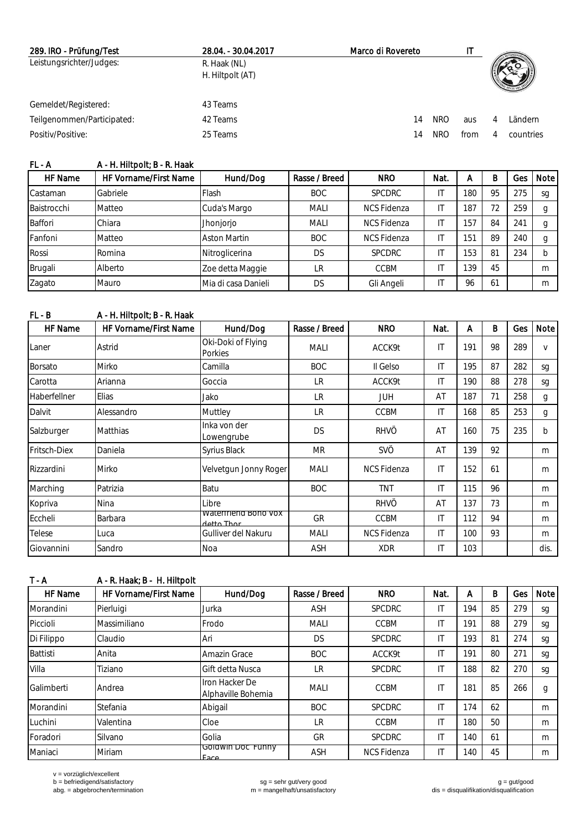| 289. IRO - Prüfung/Test    | 28.04. - 30.04.2017              | Marco di Rovereto | ΙT                |   |           |
|----------------------------|----------------------------------|-------------------|-------------------|---|-----------|
| Leistungsrichter/Judges:   | R. Haak (NL)<br>H. Hiltpolt (AT) |                   |                   |   |           |
| Gemeldet/Registered:       | 43 Teams                         |                   |                   |   |           |
| Teilgenommen/Participated: | 42 Teams                         | 14                | <b>NRO</b><br>aus | Δ | Ländern.  |
| Positiv/Positive:          | 25 Teams                         | 14                | NRO<br>from       |   | countries |

| FL - A | A - H. Hiltpolt; B - R. Haak |
|--------|------------------------------|
|        |                              |

| HF Name         | <b>HF Vorname/First Name</b> | Hund/Dog            | Rasse / Breed | <b>NRO</b>         | Nat. | А               | B  | Ges | Note I |
|-----------------|------------------------------|---------------------|---------------|--------------------|------|-----------------|----|-----|--------|
| <b>Castaman</b> | Gabriele                     | Flash               | <b>BOC</b>    | <b>SPCDRC</b>      |      | 180             | 95 | 275 | sg     |
| Baistrocchi     | Matteo                       | Cuda's Margo        | <b>MALI</b>   | <b>NCS Fidenza</b> |      | 187             | 72 | 259 |        |
| <b>Baffori</b>  | Chiara                       | Jhonjorjo           | <b>MALI</b>   | <b>NCS Fidenza</b> |      | 157             | 84 | 241 |        |
| Fanfoni         | Matteo                       | <b>Aston Martin</b> | <b>BOC</b>    | <b>NCS Fidenza</b> |      | 15 <sup>′</sup> | 89 | 240 |        |
| Rossi           | Romina                       | Nitroglicerina      | <b>DS</b>     | <b>SPCDRC</b>      |      | 153             | 81 | 234 |        |
| Brugali         | Alberto                      | Zoe detta Maggie    | LR            | CCBM               |      | 139             | 45 |     | m      |
| Zagato          | <b>Mauro</b>                 | Mia di casa Danieli | DS            | Gli Angeli         |      | 96              | 61 |     | m      |

| FL - B       | A - H. Hiltpolt: B - R. Haak |                                    |               |                    |                        |     |    |     |              |
|--------------|------------------------------|------------------------------------|---------------|--------------------|------------------------|-----|----|-----|--------------|
| HF Name      | HF Vorname/First Name        | Hund/Dog                           | Rasse / Breed | <b>NRO</b>         | Nat.                   | A   | B  | Ges | Note         |
| Laner        | Astrid                       | Oki-Doki of Flying<br>Porkies      | <b>MALI</b>   | ACCK9t             | IT                     | 191 | 98 | 289 | $\vee$       |
| Borsato      | Mirko                        | Camilla                            | <b>BOC</b>    | II Gelso           | ΙT                     | 195 | 87 | 282 | sg           |
| Carotta      | Arianna                      | Goccia                             | <b>LR</b>     | ACCK9t             | IT                     | 190 | 88 | 278 | sg           |
| Haberfellner | Elias                        | Jako                               | <b>LR</b>     | <b>JUH</b>         | AT                     | 187 | 71 | 258 | g            |
| Dalvit       | Alessandro                   | Muttley                            | <b>LR</b>     | <b>CCBM</b>        | IT                     | 168 | 85 | 253 | $\mathbf{q}$ |
| Salzburger   | Matthias                     | Inka von der<br>Lowengrube         | <b>DS</b>     | <b>RHVÖ</b>        | AT                     | 160 | 75 | 235 | $\mathsf{b}$ |
| Fritsch-Diex | Daniela                      | Syrius Black                       | <b>MR</b>     | <b>SVÖ</b>         | AT                     | 139 | 92 |     | m            |
| Rizzardini   | Mirko                        | Velvetgun Jonny Roger              | <b>MALI</b>   | <b>NCS Fidenza</b> | IT                     | 152 | 61 |     | m            |
| Marching     | Patrizia                     | Batu                               | <b>BOC</b>    | <b>TNT</b>         | $\mathsf{I}\mathsf{T}$ | 115 | 96 |     | m            |
| Kopriva      | Nina                         | Libre                              |               | <b>RHVÖ</b>        | AT                     | 137 | 73 |     | m            |
| Eccheli      | Barbara                      | waterfriend Bono vox<br>detto Thor | GR            | <b>CCBM</b>        | IT                     | 112 | 94 |     | m            |
| Telese       | Luca                         | Gulliver del Nakuru                | <b>MALI</b>   | <b>NCS Fidenza</b> | ΙT                     | 100 | 93 |     | m            |
| Giovannini   | Sandro                       | Noa                                | <b>ASH</b>    | <b>XDR</b>         | IT                     | 103 |    |     | dis.         |

| $T - A$         | A - R. Haak; B - H. Hiltpolt |                                      |               |                    |                        |     |    |     |        |
|-----------------|------------------------------|--------------------------------------|---------------|--------------------|------------------------|-----|----|-----|--------|
| HF Name         | HF Vorname/First Name        | Hund/Dog                             | Rasse / Breed | <b>NRO</b>         | Nat.                   | А   | B  | Ges | Note I |
| Morandini       | Pierluigi                    | Jurka                                | <b>ASH</b>    | <b>SPCDRC</b>      | IT                     | 194 | 85 | 279 | sg     |
| Piccioli        | Massimiliano                 | Frodo                                | <b>MALI</b>   | CCBM               | $\mathsf{I}$           | 191 | 88 | 279 | sg     |
| Di Filippo      | Claudio                      | Ari                                  | <b>DS</b>     | <b>SPCDRC</b>      | $\mathsf{I}$           | 193 | 81 | 274 | sg     |
| <b>Battisti</b> | Anita                        | Amazin Grace                         | <b>BOC</b>    | ACCK9t             | IT                     | 191 | 80 | 271 | sg     |
| Villa           | Tiziano                      | Gift detta Nusca                     | LR            | <b>SPCDRC</b>      | $\mathsf{I}\mathsf{T}$ | 188 | 82 | 270 | sg     |
| Galimberti      | Andrea                       | Iron Hacker De<br>Alphaville Bohemia | <b>MALI</b>   | <b>CCBM</b>        | ΙT                     | 181 | 85 | 266 | g      |
| Morandini       | Stefania                     | Abigail                              | <b>BOC</b>    | <b>SPCDRC</b>      | $\mathsf{I}\mathsf{T}$ | 174 | 62 |     | m      |
| Luchini         | Valentina                    | Cloe                                 | LR            | <b>CCBM</b>        | ΙT                     | 180 | 50 |     | m      |
| Foradori        | Silvano                      | Golia                                | GR            | <b>SPCDRC</b>      | ΙT                     | 140 | 61 |     | m      |
| Maniaci         | Miriam                       | Goldwin Doc Funny<br>Face            | <b>ASH</b>    | <b>NCS Fidenza</b> | IT                     | 140 | 45 |     | m      |